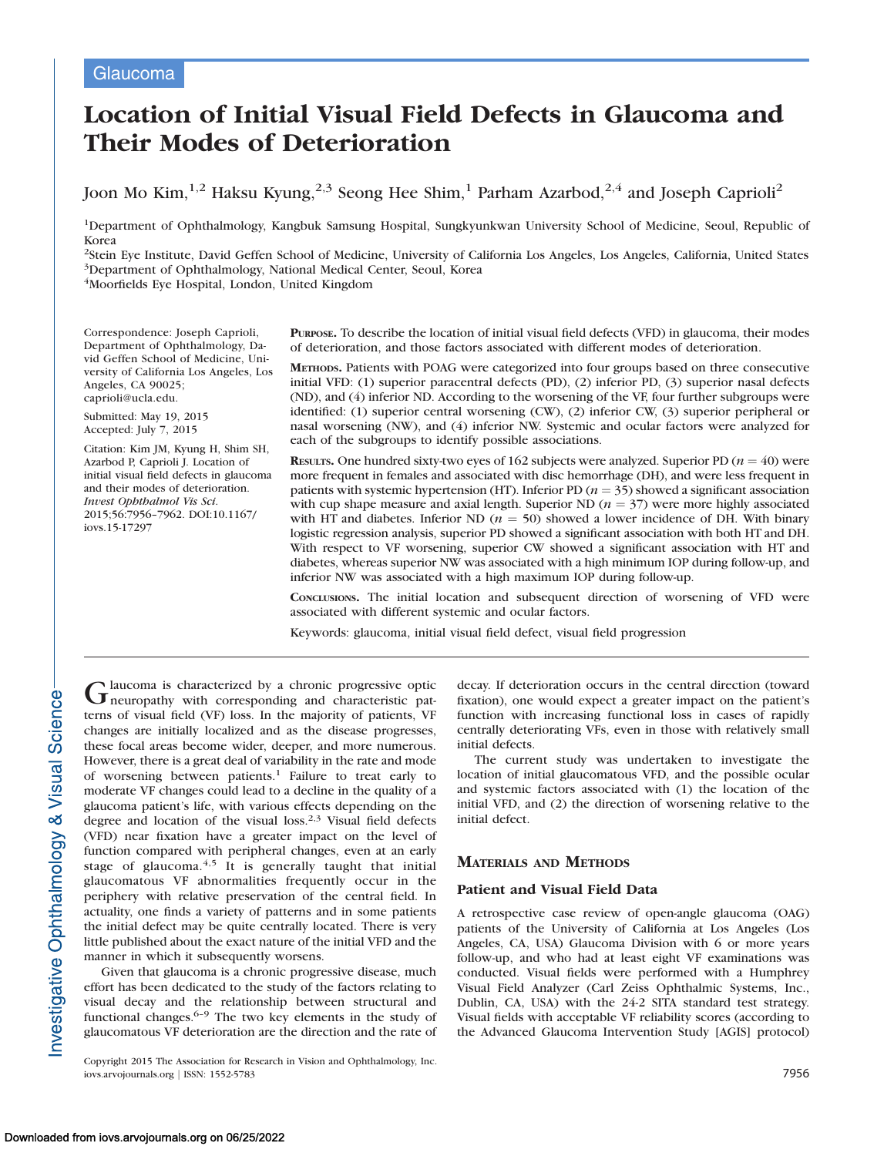# Location of Initial Visual Field Defects in Glaucoma and Their Modes of Deterioration

Joon Mo Kim,<sup>1,2</sup> Haksu Kyung,<sup>2,3</sup> Seong Hee Shim,<sup>1</sup> Parham Azarbod,<sup>2,4</sup> and Joseph Caprioli<sup>2</sup>

1Department of Ophthalmology, Kangbuk Samsung Hospital, Sungkyunkwan University School of Medicine, Seoul, Republic of Korea

2Stein Eye Institute, David Geffen School of Medicine, University of California Los Angeles, Los Angeles, California, United States 3Department of Ophthalmology, National Medical Center, Seoul, Korea

4Moorfields Eye Hospital, London, United Kingdom

Correspondence: Joseph Caprioli, Department of Ophthalmology, David Geffen School of Medicine, University of California Los Angeles, Los Angeles, CA 90025; caprioli@ucla.edu.

Submitted: May 19, 2015 Accepted: July 7, 2015

Citation: Kim JM, Kyung H, Shim SH, Azarbod P, Caprioli J. Location of initial visual field defects in glaucoma and their modes of deterioration. Invest Ophthalmol Vis Sci. 2015;56:7956–7962. DOI:10.1167/ iovs.15-17297

PURPOSE. To describe the location of initial visual field defects (VFD) in glaucoma, their modes of deterioration, and those factors associated with different modes of deterioration.

METHODS. Patients with POAG were categorized into four groups based on three consecutive initial VFD: (1) superior paracentral defects (PD), (2) inferior PD, (3) superior nasal defects (ND), and (4) inferior ND. According to the worsening of the VF, four further subgroups were identified: (1) superior central worsening (CW), (2) inferior CW, (3) superior peripheral or nasal worsening (NW), and (4) inferior NW. Systemic and ocular factors were analyzed for each of the subgroups to identify possible associations.

RESULTS. One hundred sixty-two eyes of 162 subjects were analyzed. Superior PD ( $n = 40$ ) were more frequent in females and associated with disc hemorrhage (DH), and were less frequent in patients with systemic hypertension (HT). Inferior PD ( $n = 35$ ) showed a significant association with cup shape measure and axial length. Superior ND ( $n = 37$ ) were more highly associated with HT and diabetes. Inferior ND ( $n = 50$ ) showed a lower incidence of DH. With binary logistic regression analysis, superior PD showed a significant association with both HT and DH. With respect to VF worsening, superior CW showed a significant association with HT and diabetes, whereas superior NW was associated with a high minimum IOP during follow-up, and inferior NW was associated with a high maximum IOP during follow-up.

CONCLUSIONS. The initial location and subsequent direction of worsening of VFD were associated with different systemic and ocular factors.

Keywords: glaucoma, initial visual field defect, visual field progression

Glaucoma is characterized by a chronic progressive optic<br>Theuropathy with corresponding and characteristic patterns of visual field (VF) loss. In the majority of patients, VF changes are initially localized and as the disease progresses, these focal areas become wider, deeper, and more numerous. However, there is a great deal of variability in the rate and mode of worsening between patients.<sup>1</sup> Failure to treat early to moderate VF changes could lead to a decline in the quality of a glaucoma patient's life, with various effects depending on the degree and location of the visual loss.2,3 Visual field defects (VFD) near fixation have a greater impact on the level of function compared with peripheral changes, even at an early stage of glaucoma. $4,5$  It is generally taught that initial glaucomatous VF abnormalities frequently occur in the periphery with relative preservation of the central field. In actuality, one finds a variety of patterns and in some patients the initial defect may be quite centrally located. There is very little published about the exact nature of the initial VFD and the manner in which it subsequently worsens.

Given that glaucoma is a chronic progressive disease, much effort has been dedicated to the study of the factors relating to visual decay and the relationship between structural and functional changes.6–9 The two key elements in the study of glaucomatous VF deterioration are the direction and the rate of decay. If deterioration occurs in the central direction (toward fixation), one would expect a greater impact on the patient's function with increasing functional loss in cases of rapidly centrally deteriorating VFs, even in those with relatively small initial defects.

The current study was undertaken to investigate the location of initial glaucomatous VFD, and the possible ocular and systemic factors associated with (1) the location of the initial VFD, and (2) the direction of worsening relative to the initial defect.

# MATERIALS AND METHODS

# Patient and Visual Field Data

A retrospective case review of open-angle glaucoma (OAG) patients of the University of California at Los Angeles (Los Angeles, CA, USA) Glaucoma Division with 6 or more years follow-up, and who had at least eight VF examinations was conducted. Visual fields were performed with a Humphrey Visual Field Analyzer (Carl Zeiss Ophthalmic Systems, Inc., Dublin, CA, USA) with the 24-2 SITA standard test strategy. Visual fields with acceptable VF reliability scores (according to the Advanced Glaucoma Intervention Study [AGIS] protocol)

Copyright 2015 The Association for Research in Vision and Ophthalmology, Inc. iovs.arvojournals.org j ISSN: 1552-5783 7956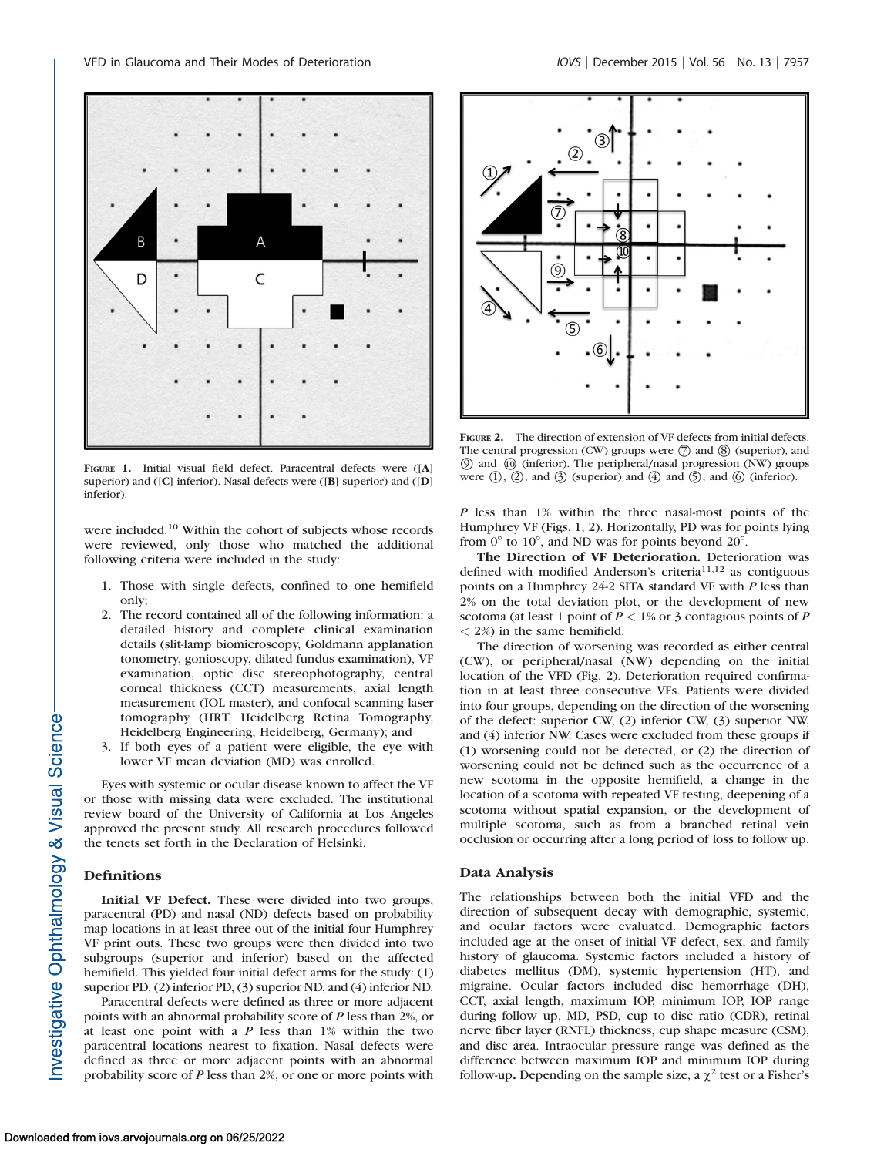

FIGURE 1. Initial visual field defect. Paracentral defects were ([A] superior) and ([C] inferior). Nasal defects were ([B] superior) and ([D] inferior).

were included.<sup>10</sup> Within the cohort of subjects whose records were reviewed, only those who matched the additional following criteria were included in the study:

- 1. Those with single defects, confined to one hemifield only;
- 2. The record contained all of the following information: a detailed history and complete clinical examination details (slit-lamp biomicroscopy, Goldmann applanation tonometry, gonioscopy, dilated fundus examination), VF examination, optic disc stereophotography, central corneal thickness (CCT) measurements, axial length measurement (IOL master), and confocal scanning laser tomography (HRT, Heidelberg Retina Tomography, Heidelberg Engineering, Heidelberg, Germany); and
- 3. If both eyes of a patient were eligible, the eye with lower VF mean deviation (MD) was enrolled.

Eyes with systemic or ocular disease known to affect the VF or those with missing data were excluded. The institutional review board of the University of California at Los Angeles approved the present study. All research procedures followed the tenets set forth in the Declaration of Helsinki.

### Definitions

Initial VF Defect. These were divided into two groups, paracentral (PD) and nasal (ND) defects based on probability map locations in at least three out of the initial four Humphrey VF print outs. These two groups were then divided into two subgroups (superior and inferior) based on the affected hemifield. This yielded four initial defect arms for the study: (1) superior PD, (2) inferior PD, (3) superior ND, and (4) inferior ND.

Paracentral defects were defined as three or more adjacent points with an abnormal probability score of P less than 2%, or at least one point with a  $P$  less than 1% within the two paracentral locations nearest to fixation. Nasal defects were defined as three or more adjacent points with an abnormal probability score of P less than 2%, or one or more points with





FIGURE 2. The direction of extension of VF defects from initial defects. The central progression (CW) groups were  $\circled{7}$  and  $\circled{8}$  (superior), and  $%$  9 and  $%$  (inferior). The peripheral/nasal progression (NW) groups were  $(1)$ ,  $(2)$ , and  $(3)$  (superior) and  $(4)$  and  $(5)$ , and  $(6)$  (inferior).

P less than 1% within the three nasal-most points of the Humphrey VF (Figs. 1, 2). Horizontally, PD was for points lying from  $0^{\circ}$  to  $10^{\circ}$ , and ND was for points beyond  $20^{\circ}$ .

The Direction of VF Deterioration. Deterioration was defined with modified Anderson's criteria<sup>11,12</sup> as contiguous points on a Humphrey 24-2 SITA standard VF with  $P$  less than 2% on the total deviation plot, or the development of new scotoma (at least 1 point of  $P < 1\%$  or 3 contagious points of P < 2%) in the same hemifield.

The direction of worsening was recorded as either central (CW), or peripheral/nasal (NW) depending on the initial location of the VFD (Fig. 2). Deterioration required confirmation in at least three consecutive VFs. Patients were divided into four groups, depending on the direction of the worsening of the defect: superior CW, (2) inferior CW, (3) superior NW, and (4) inferior NW. Cases were excluded from these groups if (1) worsening could not be detected, or (2) the direction of worsening could not be defined such as the occurrence of a new scotoma in the opposite hemifield, a change in the location of a scotoma with repeated VF testing, deepening of a scotoma without spatial expansion, or the development of multiple scotoma, such as from a branched retinal vein occlusion or occurring after a long period of loss to follow up.

#### Data Analysis

The relationships between both the initial VFD and the direction of subsequent decay with demographic, systemic, and ocular factors were evaluated. Demographic factors included age at the onset of initial VF defect, sex, and family history of glaucoma. Systemic factors included a history of diabetes mellitus (DM), systemic hypertension (HT), and migraine. Ocular factors included disc hemorrhage (DH), CCT, axial length, maximum IOP, minimum IOP, IOP range during follow up, MD, PSD, cup to disc ratio (CDR), retinal nerve fiber layer (RNFL) thickness, cup shape measure (CSM), and disc area. Intraocular pressure range was defined as the difference between maximum IOP and minimum IOP during follow-up. Depending on the sample size, a  $\chi^2$  test or a Fisher's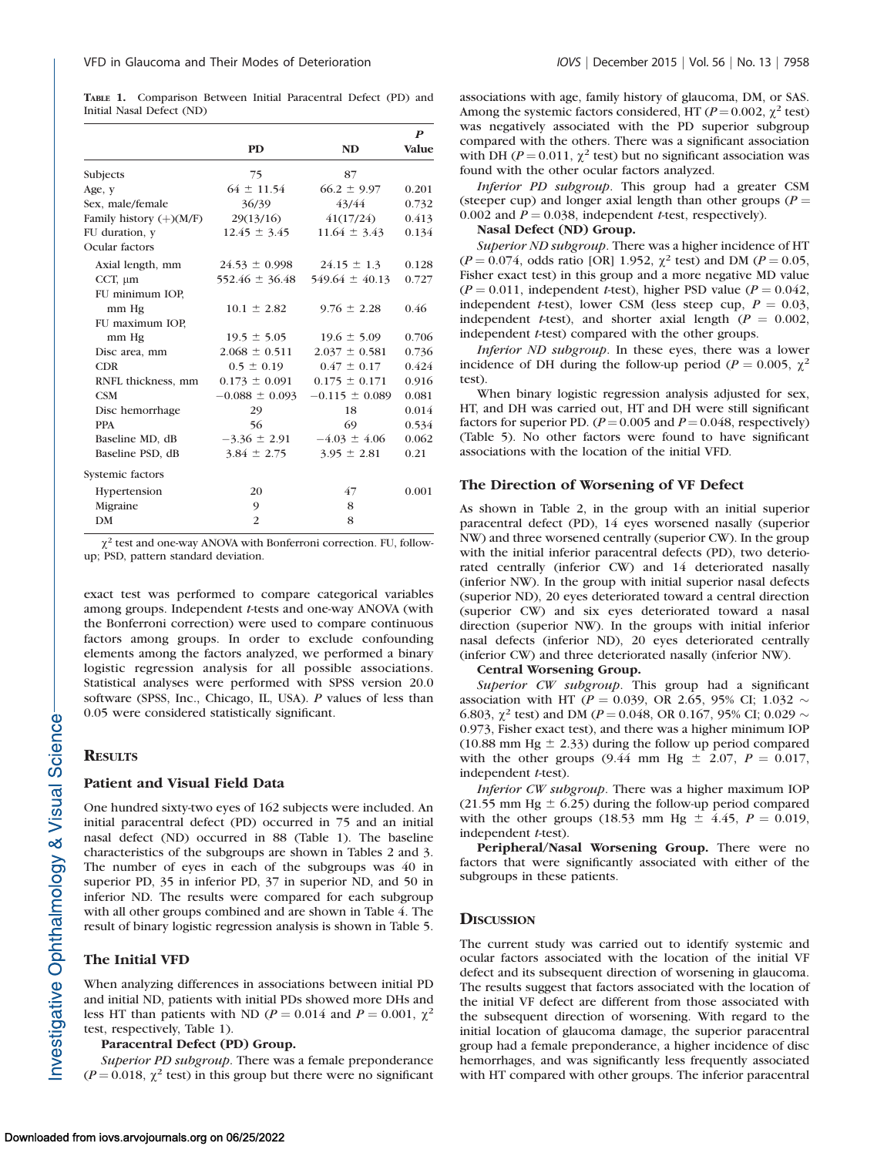TABLE 1. Comparison Between Initial Paracentral Defect (PD) and Initial Nasal Defect (ND)

|                           | <b>PD</b>          | ND                 | $\boldsymbol{P}$<br>Value |
|---------------------------|--------------------|--------------------|---------------------------|
| Subjects                  | 75                 | 87                 |                           |
| Age, y                    | $64 \pm 11.54$     | $66.2 \pm 9.97$    | 0.201                     |
| Sex, male/female          | 36/39              | 43/44              | 0.732                     |
| Family history $(+)(M/F)$ | 29(13/16)          | 41(17/24)          | 0.413                     |
| FU duration, y            | $12.45 \pm 3.45$   | $11.64 \pm 3.43$   | 0.134                     |
| Ocular factors            |                    |                    |                           |
| Axial length, mm          | $24.53 \pm 0.998$  | $24.15 \pm 1.3$    | 0.128                     |
| CCT, um                   | $552.46 \pm 36.48$ | $549.64 \pm 40.13$ | 0.727                     |
| FU minimum IOP,           |                    |                    |                           |
| mm Hg                     | $10.1 \pm 2.82$    | $9.76 \pm 2.28$    | 0.46                      |
| FU maximum IOP,           |                    |                    |                           |
| mm Hg                     | $19.5 \pm 5.05$    | $19.6 \pm 5.09$    | 0.706                     |
| Disc area, mm             | $2.068 \pm 0.511$  | $2.037 \pm 0.581$  | 0.736                     |
| <b>CDR</b>                | $0.5 \pm 0.19$     | $0.47 \pm 0.17$    | 0.424                     |
| RNFL thickness, mm        | $0.173 \pm 0.091$  | $0.175 \pm 0.171$  | 0.916                     |
| CSM                       | $-0.088 \pm 0.093$ | $-0.115 \pm 0.089$ | 0.081                     |
| Disc hemorrhage           | 29                 | 18                 | 0.014                     |
| <b>PPA</b>                | 56                 | 69                 | 0.534                     |
| Baseline MD, dB           | $-3.36 \pm 2.91$   | $-4.03 \pm 4.06$   | 0.062                     |
| Baseline PSD, dB          | $3.84 \pm 2.75$    | $3.95 \pm 2.81$    | 0.21                      |
| Systemic factors          |                    |                    |                           |
| Hypertension              | 20                 | 47                 | 0.001                     |
| Migraine                  | 9                  | 8                  |                           |
| DM                        | $\overline{2}$     | 8                  |                           |

 $\gamma^2$  test and one-way ANOVA with Bonferroni correction. FU, followup; PSD, pattern standard deviation.

exact test was performed to compare categorical variables among groups. Independent t-tests and one-way ANOVA (with the Bonferroni correction) were used to compare continuous factors among groups. In order to exclude confounding elements among the factors analyzed, we performed a binary logistic regression analysis for all possible associations. Statistical analyses were performed with SPSS version 20.0 software (SPSS, Inc., Chicago, IL, USA). P values of less than 0.05 were considered statistically significant.

## **RESULTS**

# Patient and Visual Field Data

One hundred sixty-two eyes of 162 subjects were included. An initial paracentral defect (PD) occurred in 75 and an initial nasal defect (ND) occurred in 88 (Table 1). The baseline characteristics of the subgroups are shown in Tables 2 and 3. The number of eyes in each of the subgroups was 40 in superior PD, 35 in inferior PD, 37 in superior ND, and 50 in inferior ND. The results were compared for each subgroup with all other groups combined and are shown in Table 4. The result of binary logistic regression analysis is shown in Table 5.

## The Initial VFD

When analyzing differences in associations between initial PD and initial ND, patients with initial PDs showed more DHs and less HT than patients with ND ( $P = 0.014$  and  $P = 0.001$ ,  $\chi^2$ test, respectively, Table 1).

#### Paracentral Defect (PD) Group.

Superior PD subgroup. There was a female preponderance  $(P = 0.018, \chi^2$  test) in this group but there were no significant associations with age, family history of glaucoma, DM, or SAS. Among the systemic factors considered, HT ( $P = 0.002$ ,  $\chi^2$  test) was negatively associated with the PD superior subgroup compared with the others. There was a significant association with DH ( $P = 0.011$ ,  $\chi^2$  test) but no significant association was found with the other ocular factors analyzed.

Inferior PD subgroup. This group had a greater CSM (steeper cup) and longer axial length than other groups ( $P =$ 0.002 and  $P = 0.038$ , independent *t*-test, respectively).

## Nasal Defect (ND) Group.

Superior ND subgroup. There was a higher incidence of HT  $(P = 0.074$ , odds ratio [OR] 1.952,  $\chi^2$  test) and DM ( $P = 0.05$ , Fisher exact test) in this group and a more negative MD value  $(P = 0.011$ , independent *t*-test), higher PSD value ( $P = 0.042$ , independent *t*-test), lower CSM (less steep cup,  $P = 0.03$ , independent *t*-test), and shorter axial length ( $P = 0.002$ , independent *t*-test) compared with the other groups.

Inferior ND subgroup. In these eyes, there was a lower incidence of DH during the follow-up period ( $P = 0.005$ ,  $\chi^2$ test).

When binary logistic regression analysis adjusted for sex, HT, and DH was carried out, HT and DH were still significant factors for superior PD. ( $P = 0.005$  and  $P = 0.048$ , respectively) (Table 5). No other factors were found to have significant associations with the location of the initial VFD.

#### The Direction of Worsening of VF Defect

As shown in Table 2, in the group with an initial superior paracentral defect (PD), 14 eyes worsened nasally (superior NW) and three worsened centrally (superior CW). In the group with the initial inferior paracentral defects (PD), two deteriorated centrally (inferior CW) and 14 deteriorated nasally (inferior NW). In the group with initial superior nasal defects (superior ND), 20 eyes deteriorated toward a central direction (superior CW) and six eyes deteriorated toward a nasal direction (superior NW). In the groups with initial inferior nasal defects (inferior ND), 20 eyes deteriorated centrally (inferior CW) and three deteriorated nasally (inferior NW).

#### Central Worsening Group.

Superior CW subgroup. This group had a significant association with HT ( $P = 0.039$ , OR 2.65, 95% CI; 1.032  $\sim$ 6.803,  $\chi^2$  test) and DM (P = 0.048, OR 0.167, 95% CI; 0.029  $\sim$ 0.973, Fisher exact test), and there was a higher minimum IOP (10.88 mm Hg  $\pm$  2.33) during the follow up period compared with the other groups  $(9.44 \text{ mm Hg} \pm 2.07, P = 0.017,$ independent *t*-test).

Inferior CW subgroup. There was a higher maximum IOP (21.55 mm Hg  $\pm$  6.25) during the follow-up period compared with the other groups (18.53 mm Hg  $\pm$  4.45, P = 0.019, independent t-test).

Peripheral/Nasal Worsening Group. There were no factors that were significantly associated with either of the subgroups in these patients.

#### **DISCUSSION**

The current study was carried out to identify systemic and ocular factors associated with the location of the initial VF defect and its subsequent direction of worsening in glaucoma. The results suggest that factors associated with the location of the initial VF defect are different from those associated with the subsequent direction of worsening. With regard to the initial location of glaucoma damage, the superior paracentral group had a female preponderance, a higher incidence of disc hemorrhages, and was significantly less frequently associated with HT compared with other groups. The inferior paracentral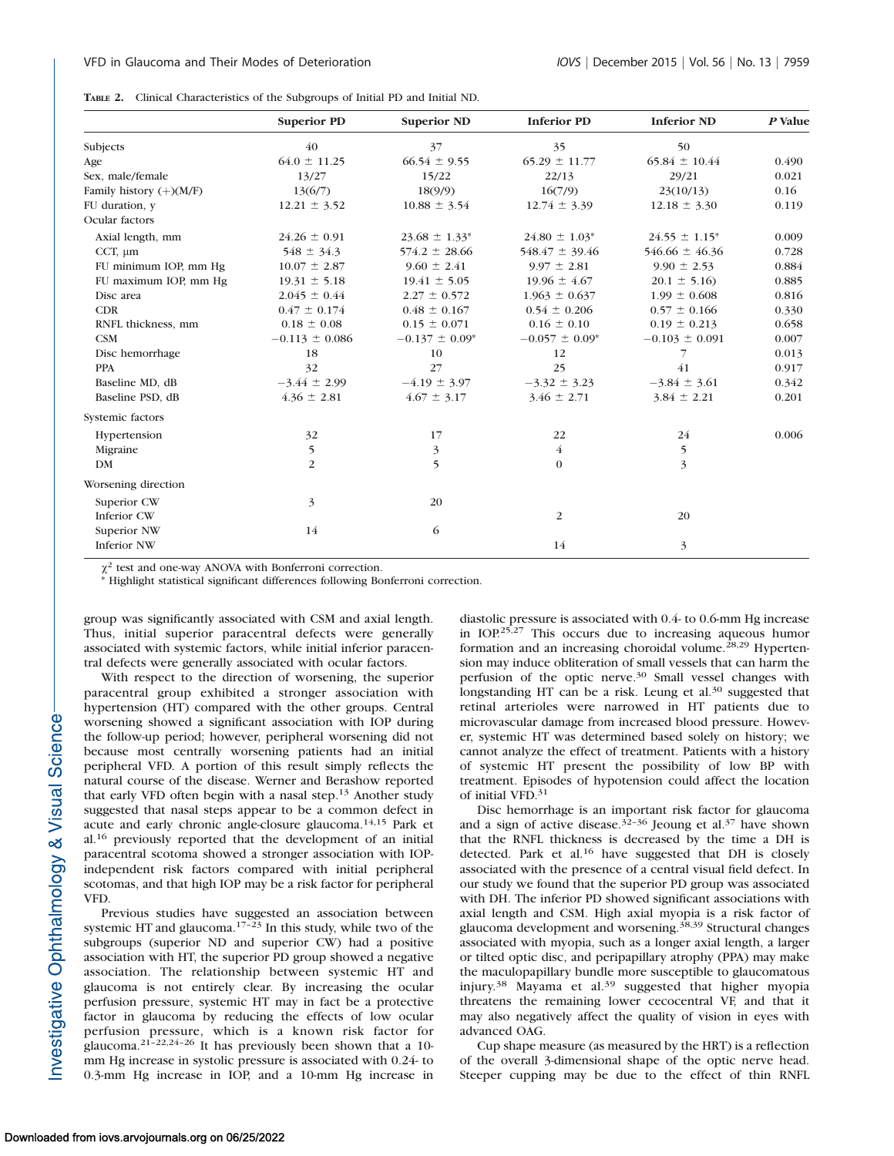TABLE 2. Clinical Characteristics of the Subgroups of Initial PD and Initial ND.

|                           | <b>Superior PD</b> | <b>Superior ND</b>  | <b>Inferior PD</b>  | <b>Inferior ND</b> | P Value |
|---------------------------|--------------------|---------------------|---------------------|--------------------|---------|
| Subjects                  | 40                 | 37                  | 35                  | 50                 |         |
| Age                       | $64.0 \pm 11.25$   | $66.54 \pm 9.55$    | $65.29 \pm 11.77$   | $65.84 \pm 10.44$  | 0.490   |
| Sex, male/female          | 13/27              | 15/22               | 22/13               | 29/21              | 0.021   |
| Family history $(+)(M/F)$ | 13(6/7)            | 18(9/9)             | 16(7/9)             | 23(10/13)          | 0.16    |
| FU duration, y            | $12.21 \pm 3.52$   | $10.88 \pm 3.54$    | $12.74 \pm 3.39$    | $12.18 \pm 3.30$   | 0.119   |
| Ocular factors            |                    |                     |                     |                    |         |
| Axial length, mm          | $24.26 \pm 0.91$   | $23.68 \pm 1.33^*$  | $24.80 \pm 1.03^*$  | $24.55 \pm 1.15^*$ | 0.009   |
| $CCT$ , $\mu$ m           | $548 \pm 34.3$     | $574.2 \pm 28.66$   | $548.47 \pm 39.46$  | $546.66 \pm 46.36$ | 0.728   |
| FU minimum IOP, mm Hg     | $10.07 \pm 2.87$   | $9.60 \pm 2.41$     | $9.97 \pm 2.81$     | $9.90 \pm 2.53$    | 0.884   |
| FU maximum IOP, mm Hg     | $19.31 \pm 5.18$   | $19.41 \pm 5.05$    | $19.96 \pm 4.67$    | $20.1 \pm 5.16$    | 0.885   |
| Disc area                 | $2.045 \pm 0.44$   | $2.27 \pm 0.572$    | $1.963 \pm 0.637$   | $1.99 \pm 0.608$   | 0.816   |
| <b>CDR</b>                | $0.47 \pm 0.174$   | $0.48 \pm 0.167$    | $0.54 \pm 0.206$    | $0.57 \pm 0.166$   | 0.330   |
| RNFL thickness, mm        | $0.18 \pm 0.08$    | $0.15 \pm 0.071$    | $0.16 \pm 0.10$     | $0.19 \pm 0.213$   | 0.658   |
| CSM                       | $-0.113 \pm 0.086$ | $-0.137 \pm 0.09^*$ | $-0.057 \pm 0.09^*$ | $-0.103 \pm 0.091$ | 0.007   |
| Disc hemorrhage           | 18                 | 10                  | 12                  | 7                  | 0.013   |
| <b>PPA</b>                | 32                 | 27                  | 25                  | 41                 | 0.917   |
| Baseline MD, dB           | $-3.44 \pm 2.99$   | $-4.19 \pm 3.97$    | $-3.32 \pm 3.23$    | $-3.84 \pm 3.61$   | 0.342   |
| Baseline PSD, dB          | $4.36 \pm 2.81$    | $4.67 \pm 3.17$     | $3.46 \pm 2.71$     | $3.84 \pm 2.21$    | 0.201   |
| Systemic factors          |                    |                     |                     |                    |         |
| Hypertension              | 32                 | 17                  | 22                  | 24                 | 0.006   |
| Migraine                  | 5                  | $\mathfrak{Z}$      | $\overline{4}$      | 5                  |         |
| DM                        | $\overline{2}$     | 5                   | $\theta$            | $\overline{3}$     |         |
| Worsening direction       |                    |                     |                     |                    |         |
| Superior CW               | 3                  | 20                  |                     |                    |         |
| Inferior CW               |                    |                     | $\overline{2}$      | 20                 |         |
| Superior NW               | 14                 | 6                   |                     |                    |         |
| Inferior NW               |                    |                     | 14                  | 3                  |         |

 $\chi^2$  test and one-way ANOVA with Bonferroni correction.

\* Highlight statistical significant differences following Bonferroni correction.

group was significantly associated with CSM and axial length. Thus, initial superior paracentral defects were generally associated with systemic factors, while initial inferior paracentral defects were generally associated with ocular factors.

With respect to the direction of worsening, the superior paracentral group exhibited a stronger association with hypertension (HT) compared with the other groups. Central worsening showed a significant association with IOP during the follow-up period; however, peripheral worsening did not because most centrally worsening patients had an initial peripheral VFD. A portion of this result simply reflects the natural course of the disease. Werner and Berashow reported that early VFD often begin with a nasal step.<sup>13</sup> Another study suggested that nasal steps appear to be a common defect in acute and early chronic angle-closure glaucoma.14,15 Park et al.<sup>16</sup> previously reported that the development of an initial paracentral scotoma showed a stronger association with IOPindependent risk factors compared with initial peripheral scotomas, and that high IOP may be a risk factor for peripheral VFD.

Previous studies have suggested an association between systemic HT and glaucoma. $17-23$  In this study, while two of the subgroups (superior ND and superior CW) had a positive association with HT, the superior PD group showed a negative association. The relationship between systemic HT and glaucoma is not entirely clear. By increasing the ocular perfusion pressure, systemic HT may in fact be a protective factor in glaucoma by reducing the effects of low ocular perfusion pressure, which is a known risk factor for glaucoma.21–22,24–26 It has previously been shown that a 10 mm Hg increase in systolic pressure is associated with 0.24- to 0.3-mm Hg increase in IOP, and a 10-mm Hg increase in diastolic pressure is associated with 0.4- to 0.6-mm Hg increase in IOP.<sup>25,27</sup> This occurs due to increasing aqueous humor formation and an increasing choroidal volume.<sup>28,29</sup> Hypertension may induce obliteration of small vessels that can harm the perfusion of the optic nerve.<sup>30</sup> Small vessel changes with longstanding HT can be a risk. Leung et al. $30$  suggested that retinal arterioles were narrowed in HT patients due to microvascular damage from increased blood pressure. However, systemic HT was determined based solely on history; we cannot analyze the effect of treatment. Patients with a history of systemic HT present the possibility of low BP with treatment. Episodes of hypotension could affect the location of initial VFD.<sup>31</sup>

Disc hemorrhage is an important risk factor for glaucoma and a sign of active disease.<sup>32-36</sup> Jeoung et al.<sup>37</sup> have shown that the RNFL thickness is decreased by the time a DH is detected. Park et al.<sup>16</sup> have suggested that DH is closely associated with the presence of a central visual field defect. In our study we found that the superior PD group was associated with DH. The inferior PD showed significant associations with axial length and CSM. High axial myopia is a risk factor of glaucoma development and worsening.38,39 Structural changes associated with myopia, such as a longer axial length, a larger or tilted optic disc, and peripapillary atrophy (PPA) may make the maculopapillary bundle more susceptible to glaucomatous injury.<sup>38</sup> Mayama et al.<sup>39</sup> suggested that higher myopia threatens the remaining lower cecocentral VF, and that it may also negatively affect the quality of vision in eyes with advanced OAG.

Cup shape measure (as measured by the HRT) is a reflection of the overall 3-dimensional shape of the optic nerve head. Steeper cupping may be due to the effect of thin RNFL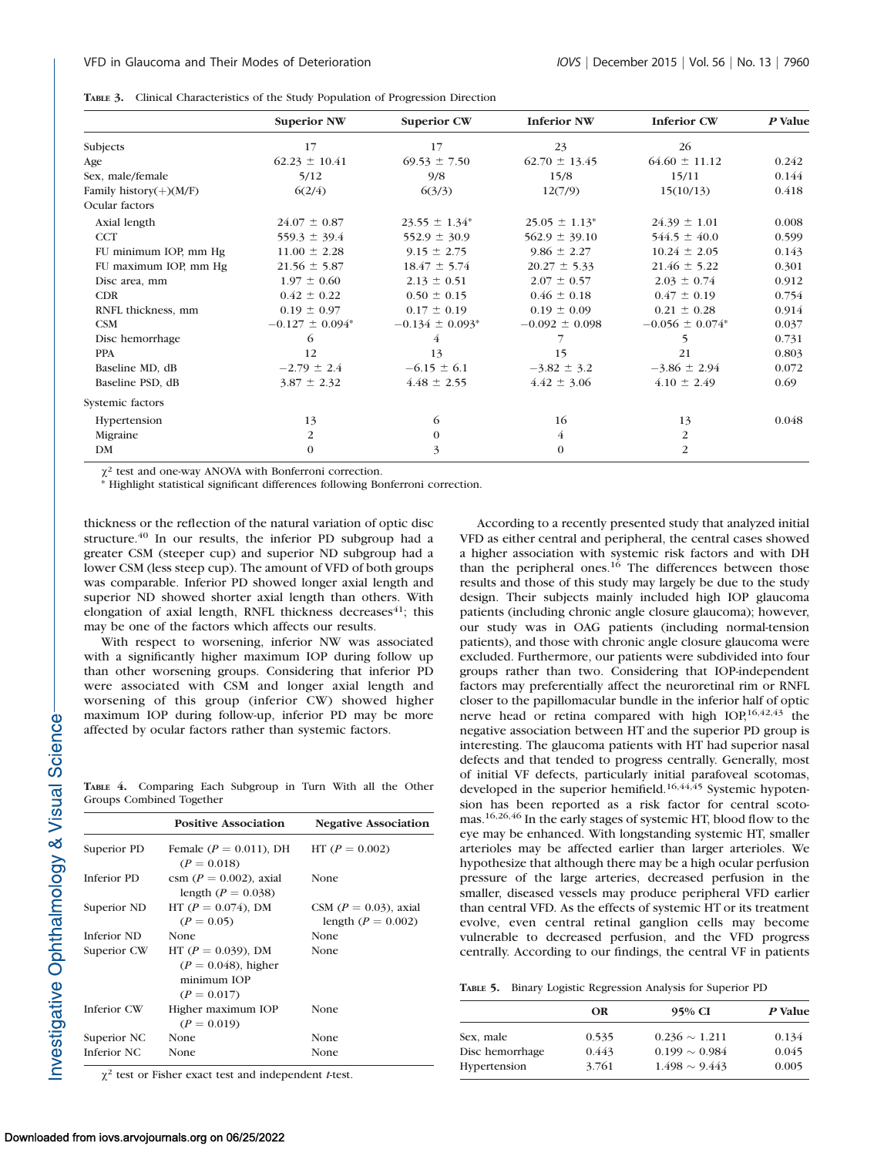|                            | <b>Superior NW</b>   | <b>Superior CW</b>   | <b>Inferior NW</b> | <b>Inferior CW</b>   | P Value |
|----------------------------|----------------------|----------------------|--------------------|----------------------|---------|
| Subjects                   | 17                   | 17                   | 23                 | 26                   |         |
| Age                        | $62.23 \pm 10.41$    | $69.53 \pm 7.50$     | $62.70 \pm 13.45$  | $64.60 \pm 11.12$    | 0.242   |
| Sex, male/female           | 5/12                 | 9/8                  | 15/8               | 15/11                | 0.144   |
| Family history $(+)$ (M/F) | 6(2/4)               | 6(3/3)               | 12(7/9)            | 15(10/13)            | 0.418   |
| Ocular factors             |                      |                      |                    |                      |         |
| Axial length               | $24.07 \pm 0.87$     | $23.55 \pm 1.34^*$   | $25.05 \pm 1.13^*$ | $24.39 \pm 1.01$     | 0.008   |
| <b>CCT</b>                 | $559.3 \pm 39.4$     | $552.9 \pm 30.9$     | $562.9 \pm 39.10$  | $544.5 \pm 40.0$     | 0.599   |
| FU minimum IOP, mm Hg      | $11.00 \pm 2.28$     | $9.15 \pm 2.75$      | $9.86 \pm 2.27$    | $10.24 \pm 2.05$     | 0.143   |
| FU maximum IOP, mm Hg      | $21.56 \pm 5.87$     | $18.47 \pm 5.74$     | $20.27 \pm 5.33$   | $21.46 \pm 5.22$     | 0.301   |
| Disc area, mm              | $1.97 \pm 0.60$      | $2.13 \pm 0.51$      | $2.07 \pm 0.57$    | $2.03 \pm 0.74$      | 0.912   |
| <b>CDR</b>                 | $0.42 \pm 0.22$      | $0.50 \pm 0.15$      | $0.46 \pm 0.18$    | $0.47 \pm 0.19$      | 0.754   |
| RNFL thickness, mm         | $0.19 \pm 0.97$      | $0.17 \pm 0.19$      | $0.19 \pm 0.09$    | $0.21 \pm 0.28$      | 0.914   |
| <b>CSM</b>                 | $-0.127 \pm 0.094^*$ | $-0.134 \pm 0.093^*$ | $-0.092 \pm 0.098$ | $-0.056 \pm 0.074$ * | 0.037   |
| Disc hemorrhage            | 6                    | 4                    |                    | 5                    | 0.731   |
| <b>PPA</b>                 | 12                   | 13                   | 15                 | 21                   | 0.803   |
| Baseline MD, dB            | $-2.79 \pm 2.4$      | $-6.15 \pm 6.1$      | $-3.82 \pm 3.2$    | $-3.86 \pm 2.94$     | 0.072   |
| Baseline PSD, dB           | $3.87 \pm 2.32$      | $4.48 \pm 2.55$      | $4.42 \pm 3.06$    | $4.10 \pm 2.49$      | 0.69    |
| Systemic factors           |                      |                      |                    |                      |         |
| Hypertension               | 13                   | 6                    | 16                 | 13                   | 0.048   |
| Migraine                   | 2                    | $\mathbf{0}$         | 4                  | $\overline{c}$       |         |
| DM                         | $\mathbf{0}$         | 3                    | $\Omega$           | 2                    |         |

TABLE 3. Clinical Characteristics of the Study Population of Progression Direction

 $\chi^2$  test and one-way ANOVA with Bonferroni correction.

\* Highlight statistical significant differences following Bonferroni correction.

thickness or the reflection of the natural variation of optic disc structure.<sup>40</sup> In our results, the inferior PD subgroup had a greater CSM (steeper cup) and superior ND subgroup had a lower CSM (less steep cup). The amount of VFD of both groups was comparable. Inferior PD showed longer axial length and superior ND showed shorter axial length than others. With elongation of axial length, RNFL thickness decreases<sup>41</sup>; this may be one of the factors which affects our results.

With respect to worsening, inferior NW was associated with a significantly higher maximum IOP during follow up than other worsening groups. Considering that inferior PD were associated with CSM and longer axial length and worsening of this group (inferior CW) showed higher maximum IOP during follow-up, inferior PD may be more affected by ocular factors rather than systemic factors.

TABLE 4. Comparing Each Subgroup in Turn With all the Other Groups Combined Together

|             | <b>Positive Association</b>                                                     | <b>Negative Association</b>                      |
|-------------|---------------------------------------------------------------------------------|--------------------------------------------------|
| Superior PD | Female $(P = 0.011)$ , DH<br>$(P = 0.018)$                                      | HT $(P = 0.002)$                                 |
| Inferior PD | csm $(P = 0.002)$ , axial<br>length ( $P = 0.038$ )                             | None                                             |
| Superior ND | HT $(P = 0.074)$ , DM<br>$(P = 0.05)$                                           | CSM $(P = 0.03)$ , axial<br>length $(P = 0.002)$ |
| Inferior ND | None                                                                            | None                                             |
| Superior CW | HT $(P = 0.039)$ , DM<br>$(P = 0.048)$ , higher<br>minimum IOP<br>$(P = 0.017)$ | None                                             |
| Inferior CW | Higher maximum IOP<br>$(P = 0.019)$                                             | None                                             |
| Superior NC | None                                                                            | None                                             |
| Inferior NC | None                                                                            | None                                             |

 $\chi^2$  test or Fisher exact test and independent t-test.

According to a recently presented study that analyzed initial VFD as either central and peripheral, the central cases showed a higher association with systemic risk factors and with DH than the peripheral ones.<sup>16</sup> The differences between those results and those of this study may largely be due to the study design. Their subjects mainly included high IOP glaucoma patients (including chronic angle closure glaucoma); however, our study was in OAG patients (including normal-tension patients), and those with chronic angle closure glaucoma were excluded. Furthermore, our patients were subdivided into four groups rather than two. Considering that IOP-independent factors may preferentially affect the neuroretinal rim or RNFL closer to the papillomacular bundle in the inferior half of optic nerve head or retina compared with high IOP,<sup>16,42,43</sup> the negative association between HT and the superior PD group is interesting. The glaucoma patients with HT had superior nasal defects and that tended to progress centrally. Generally, most of initial VF defects, particularly initial parafoveal scotomas, developed in the superior hemifield.<sup>16,44,45</sup> Systemic hypotension has been reported as a risk factor for central scotomas.16,26,46 In the early stages of systemic HT, blood flow to the eye may be enhanced. With longstanding systemic HT, smaller arterioles may be affected earlier than larger arterioles. We hypothesize that although there may be a high ocular perfusion pressure of the large arteries, decreased perfusion in the smaller, diseased vessels may produce peripheral VFD earlier than central VFD. As the effects of systemic HT or its treatment evolve, even central retinal ganglion cells may become vulnerable to decreased perfusion, and the VFD progress centrally. According to our findings, the central VF in patients

|  |  |  |  |  | TABLE 5. Binary Logistic Regression Analysis for Superior PD |  |
|--|--|--|--|--|--------------------------------------------------------------|--|
|--|--|--|--|--|--------------------------------------------------------------|--|

|                 | ОR    | 95% CI             | P Value |
|-----------------|-------|--------------------|---------|
| Sex, male       | 0.535 | $0.236 \sim 1.211$ | 0.134   |
| Disc hemorrhage | 0.443 | $0.199 \sim 0.984$ | 0.045   |
| Hypertension    | 3.761 | $1.498 \sim 9.443$ | 0.005   |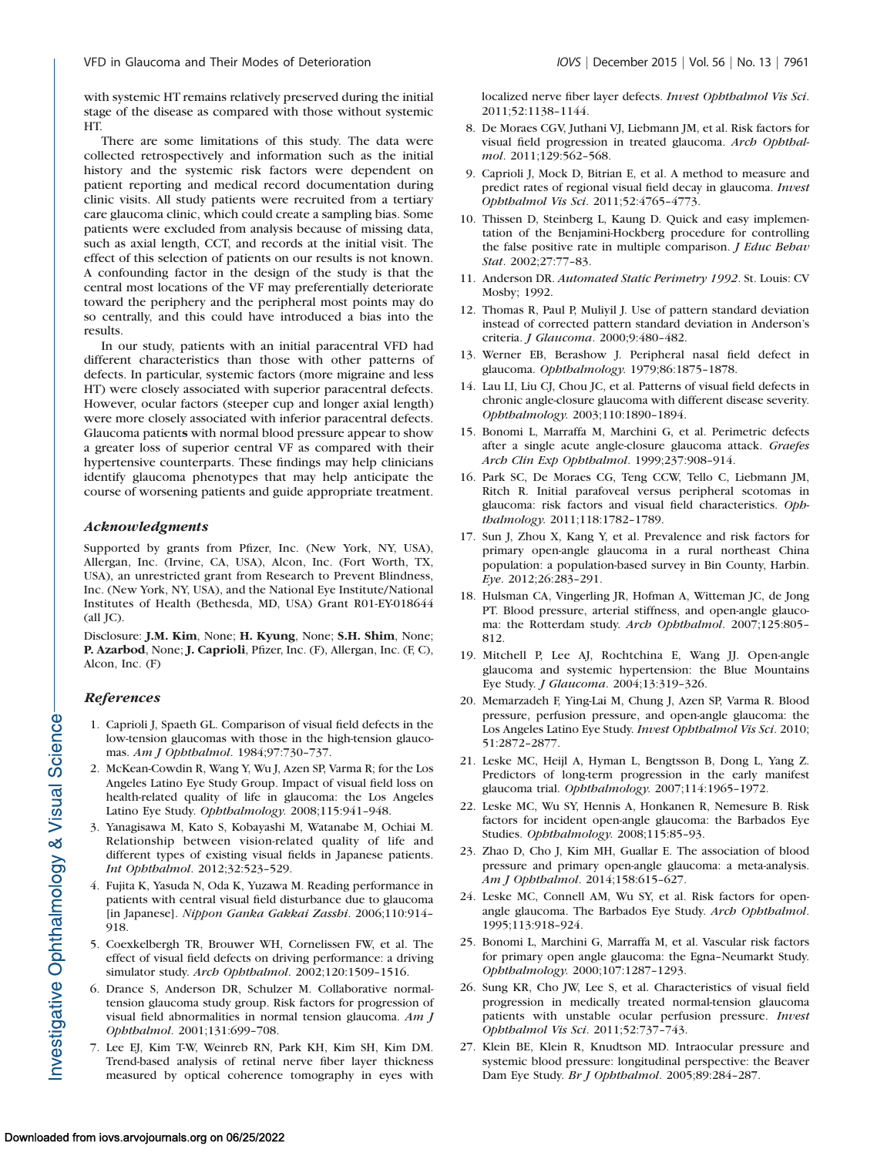with systemic HT remains relatively preserved during the initial stage of the disease as compared with those without systemic HT.

There are some limitations of this study. The data were collected retrospectively and information such as the initial history and the systemic risk factors were dependent on patient reporting and medical record documentation during clinic visits. All study patients were recruited from a tertiary care glaucoma clinic, which could create a sampling bias. Some patients were excluded from analysis because of missing data, such as axial length, CCT, and records at the initial visit. The effect of this selection of patients on our results is not known. A confounding factor in the design of the study is that the central most locations of the VF may preferentially deteriorate toward the periphery and the peripheral most points may do so centrally, and this could have introduced a bias into the results.

In our study, patients with an initial paracentral VFD had different characteristics than those with other patterns of defects. In particular, systemic factors (more migraine and less HT) were closely associated with superior paracentral defects. However, ocular factors (steeper cup and longer axial length) were more closely associated with inferior paracentral defects. Glaucoma patients with normal blood pressure appear to show a greater loss of superior central VF as compared with their hypertensive counterparts. These findings may help clinicians identify glaucoma phenotypes that may help anticipate the course of worsening patients and guide appropriate treatment.

#### Acknowledgments

Supported by grants from Pfizer, Inc. (New York, NY, USA), Allergan, Inc. (Irvine, CA, USA), Alcon, Inc. (Fort Worth, TX, USA), an unrestricted grant from Research to Prevent Blindness, Inc. (New York, NY, USA), and the National Eye Institute/National Institutes of Health (Bethesda, MD, USA) Grant R01-EY-018644  $\text{(all JC)}.$ 

Disclosure: J.M. Kim, None; H. Kyung, None; S.H. Shim, None; P. Azarbod, None; J. Caprioli, Pfizer, Inc. (F), Allergan, Inc. (F, C), Alcon, Inc. (F)

#### **References**

- 1. Caprioli J, Spaeth GL. Comparison of visual field defects in the low-tension glaucomas with those in the high-tension glaucomas. Am J Ophthalmol. 1984;97:730–737.
- 2. McKean-Cowdin R, Wang Y, Wu J, Azen SP, Varma R; for the Los Angeles Latino Eye Study Group. Impact of visual field loss on health-related quality of life in glaucoma: the Los Angeles Latino Eye Study. Ophthalmology. 2008;115:941–948.
- 3. Yanagisawa M, Kato S, Kobayashi M, Watanabe M, Ochiai M. Relationship between vision-related quality of life and different types of existing visual fields in Japanese patients. Int Ophthalmol. 2012;32:523–529.
- 4. Fujita K, Yasuda N, Oda K, Yuzawa M. Reading performance in patients with central visual field disturbance due to glaucoma [in Japanese]. Nippon Ganka Gakkai Zasshi. 2006;110:914– 918.
- 5. Coexkelbergh TR, Brouwer WH, Cornelissen FW, et al. The effect of visual field defects on driving performance: a driving simulator study. Arch Ophthalmol. 2002;120:1509–1516.
- 6. Drance S, Anderson DR, Schulzer M. Collaborative normaltension glaucoma study group. Risk factors for progression of visual field abnormalities in normal tension glaucoma. Am J Ophthalmol. 2001;131:699–708.
- 7. Lee EJ, Kim T-W, Weinreb RN, Park KH, Kim SH, Kim DM. Trend-based analysis of retinal nerve fiber layer thickness measured by optical coherence tomography in eyes with

localized nerve fiber layer defects. Invest Ophthalmol Vis Sci. 2011;52:1138–1144.

- 8. De Moraes CGV, Juthani VJ, Liebmann JM, et al. Risk factors for visual field progression in treated glaucoma. Arch Ophthalmol. 2011;129:562–568.
- 9. Caprioli J, Mock D, Bitrian E, et al. A method to measure and predict rates of regional visual field decay in glaucoma. Invest Ophthalmol Vis Sci. 2011;52:4765–4773.
- 10. Thissen D, Steinberg L, Kaung D. Quick and easy implementation of the Benjamini-Hockberg procedure for controlling the false positive rate in multiple comparison. *J Educ Behav* Stat. 2002;27:77–83.
- 11. Anderson DR. Automated Static Perimetry 1992. St. Louis: CV Mosby; 1992.
- 12. Thomas R, Paul P, Muliyil J. Use of pattern standard deviation instead of corrected pattern standard deviation in Anderson's criteria. J Glaucoma. 2000;9:480–482.
- 13. Werner EB, Berashow J. Peripheral nasal field defect in glaucoma. Ophthalmology. 1979;86:1875–1878.
- 14. Lau LI, Liu CJ, Chou JC, et al. Patterns of visual field defects in chronic angle-closure glaucoma with different disease severity. Ophthalmology. 2003;110:1890–1894.
- 15. Bonomi L, Marraffa M, Marchini G, et al. Perimetric defects after a single acute angle-closure glaucoma attack. Graefes Arch Clin Exp Ophthalmol. 1999;237:908–914.
- 16. Park SC, De Moraes CG, Teng CCW, Tello C, Liebmann JM, Ritch R. Initial parafoveal versus peripheral scotomas in glaucoma: risk factors and visual field characteristics. Ophthalmology. 2011;118:1782–1789.
- 17. Sun J, Zhou X, Kang Y, et al. Prevalence and risk factors for primary open-angle glaucoma in a rural northeast China population: a population-based survey in Bin County, Harbin. Eye. 2012;26:283–291.
- 18. Hulsman CA, Vingerling JR, Hofman A, Witteman JC, de Jong PT. Blood pressure, arterial stiffness, and open-angle glaucoma: the Rotterdam study. Arch Ophthalmol. 2007;125:805– 812.
- 19. Mitchell P, Lee AJ, Rochtchina E, Wang JJ. Open-angle glaucoma and systemic hypertension: the Blue Mountains Eye Study. J Glaucoma. 2004;13:319–326.
- 20. Memarzadeh F, Ying-Lai M, Chung J, Azen SP, Varma R. Blood pressure, perfusion pressure, and open-angle glaucoma: the Los Angeles Latino Eye Study. Invest Ophthalmol Vis Sci. 2010; 51:2872–2877.
- 21. Leske MC, Heijl A, Hyman L, Bengtsson B, Dong L, Yang Z. Predictors of long-term progression in the early manifest glaucoma trial. Ophthalmology. 2007;114:1965–1972.
- 22. Leske MC, Wu SY, Hennis A, Honkanen R, Nemesure B. Risk factors for incident open-angle glaucoma: the Barbados Eye Studies. Ophthalmology. 2008;115:85–93.
- 23. Zhao D, Cho J, Kim MH, Guallar E. The association of blood pressure and primary open-angle glaucoma: a meta-analysis. Am J Ophthalmol. 2014;158:615–627.
- 24. Leske MC, Connell AM, Wu SY, et al. Risk factors for openangle glaucoma. The Barbados Eye Study. Arch Ophthalmol. 1995;113:918–924.
- 25. Bonomi L, Marchini G, Marraffa M, et al. Vascular risk factors for primary open angle glaucoma: the Egna–Neumarkt Study. Ophthalmology. 2000;107:1287–1293.
- 26. Sung KR, Cho JW, Lee S, et al. Characteristics of visual field progression in medically treated normal-tension glaucoma patients with unstable ocular perfusion pressure. Invest Ophthalmol Vis Sci. 2011;52:737–743.
- 27. Klein BE, Klein R, Knudtson MD. Intraocular pressure and systemic blood pressure: longitudinal perspective: the Beaver Dam Eye Study. Br J Ophthalmol. 2005;89:284–287.